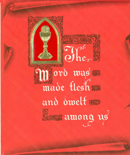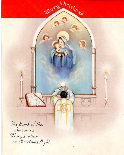The Birth of the Savior on Mary's altar on Christmas Night

Mary Christman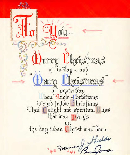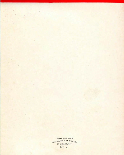COPYRIGHT 1940 THE SALVATORIAN FATHERS Nº 71

 $\mathcal{A}$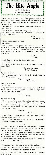

Love makes thieves of some of us. Many a man has received a life sentence for stealing a kiss.

I. O. U's. payable on sight should never be presented to blind men.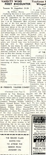# **VARSITY WINS FIRST ENCOUNTER**

# **Trounces St. Augustine's 31-24**

# By *William Martin*

Displaying fine form in their game of the season, St. Michael's Varsit beat St. Augustine's by the score of 31-24. The game was played on Dec. 6 at St. Athanasius' Hall. At the end of the first quarter, the Michaelmen were leading 6-5, but they were behind at the end of the second and third quarters. In the last period however, the team's offense and defense began to click, and where the final whistle was blown, St, and defense began to click, and wher Michael's had the game safely tucked away. Captain Charlie Pascale was high scorer of the game with 17 points, and Driscoll came close behind him with 9. The contest couldn't, by any means, be called a I walk-away, because the St. Augus tine's passing was working witl. clock -like precision. If the boys can keep up their fine playing, we might have a good chance at that C.H.S. A.A. Title. A little professional touch was added to the game by the announcing of Messrs. Prieato and Villari.

|          | G        |                |
|----------|----------|----------------|
| Pascale  | 8        | 17             |
| Driscoll | 8        |                |
| Sadowski |          | 2              |
| Zeitler  |          | $\overline{2}$ |
| Curtin   | $\Omega$ | J.             |
| Barrett  | 0        | 0              |
| Floyd    |          |                |
| Flaherty |          | O              |
|          |          |                |

# **3B -PRESENTS YULETIDE COMEDY**

#### *(Continued from Page* 3)

assumed by Tom Hennessy. Ken Johnson is the Stranger and Alphonse Villari adds an artistic touch to the play. The remainder of the Dramatis Personae includes Felix Beary, Howard Fulton, Victor Sadowski, George Astarita, Albert Rehorn, William Alford, Thomas McQuillan, Felix Millus, Marcello Panarello and others. The remaind of the class comprises the stage crew, prompters and scenery men.

3B has worked, in the short time allotted, to some extent on this play and hopes to make it a success. None of the actors promise to be outstanding, but we are sure they will do their best to entertain us. So, let us enter into the true Christmas spirit and enjoy the play which was never written for Broadway!

งของออกจายงของอ **THE SENIOR CLASS INVITES YOU TO ATIEND THE SENIOR .PROM JANUARY 17th** 

**Trackmen** *I Winged* 

### By *Haro*

In spite of the<br>the annual affair the annual affair c Trackmen, former attended by a r enjoyment seekers. this month a chee school auditorium social success of we may assume end was taken cai

nd was take. responsible for th William Averill, Joseph Lillis, Jo Martin Walsh. Th of Brother Quent the Winged "M" committee a good all. Mu sic was fr Vent and his oche University.

**AT THE** 

( *Continued f1*  Jimmy Gallagher a Home Notes:-

This section of deals with member student body who a<br>The freshmen su The freshmen st made us feel like

Teddy Miller an -the inseparableger and Rita Wac with his sister Eil, maurice and Bee Ridge High mal Kenny Johnson e resentative from E mercial, Jean I Burns was with Washington Irvin Driscoll, Jim Curt lin, and Jim Mc the company of Debs. Neil Goldin Evelyn Corkey; C and a Miss Byrne

We were unable everybody, but this the elite of Bay bush and Park S honor. We hope to again next year. S